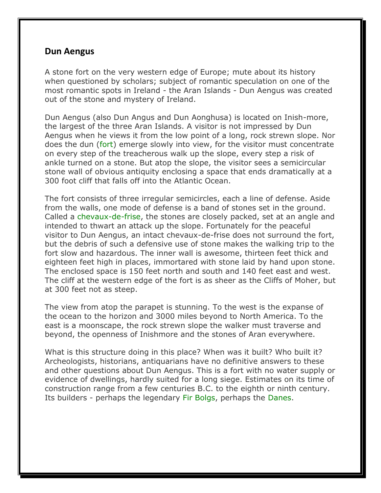## **Dun Aengus**

A stone fort on the very western edge of Europe; mute about its history when questioned by scholars; subject of romantic speculation on one of the most romantic spots in Ireland - the Aran Islands - Dun Aengus was created out of the stone and mystery of Ireland.

Dun Aengus (also Dun Angus and Dun Aonghusa) is located on Inish-more, the largest of the three Aran Islands. A visitor is not impressed by Dun Aengus when he views it from the low point of a long, rock strewn slope. Nor does the dun (fort) emerge slowly into view, for the visitor must concentrate on every step of the treacherous walk up the slope, every step a risk of ankle turned on a stone. But atop the slope, the visitor sees a semicircular stone wall of obvious antiquity enclosing a space that ends dramatically at a 300 foot cliff that falls off into the Atlantic Ocean.

The fort consists of three irregular semicircles, each a line of defense. Aside from the walls, one mode of defense is a band of stones set in the ground. Called a chevaux-de-frise, the stones are closely packed, set at an angle and intended to thwart an attack up the slope. Fortunately for the peaceful visitor to Dun Aengus, an intact chevaux-de-frise does not surround the fort, but the debris of such a defensive use of stone makes the walking trip to the fort slow and hazardous. The inner wall is awesome, thirteen feet thick and eighteen feet high in places, immortared with stone laid by hand upon stone. The enclosed space is 150 feet north and south and 140 feet east and west. The cliff at the western edge of the fort is as sheer as the Cliffs of Moher, but at 300 feet not as steep.

The view from atop the parapet is stunning. To the west is the expanse of the ocean to the horizon and 3000 miles beyond to North America. To the east is a moonscape, the rock strewn slope the walker must traverse and beyond, the openness of Inishmore and the stones of Aran everywhere.

What is this structure doing in this place? When was it built? Who built it? Archeologists, historians, antiquarians have no definitive answers to these and other questions about Dun Aengus. This is a fort with no water supply or evidence of dwellings, hardly suited for a long siege. Estimates on its time of construction range from a few centuries B.C. to the eighth or ninth century. Its builders - perhaps the legendary Fir Bolgs, perhaps the Danes.